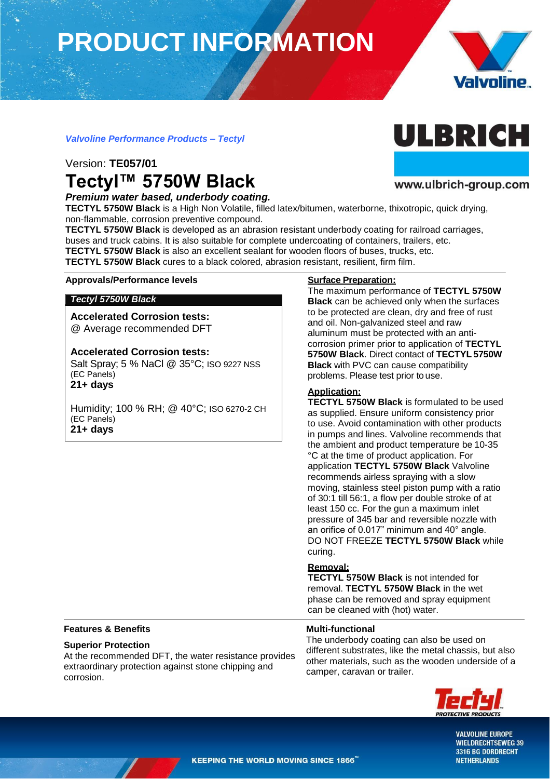# **PRODUCT INFORMATION**



### *Valvoline Performance Products – Tectyl*

### Version: **TE057/01 Tectyl™ 5750W Black**

*Premium water based, underbody coating.*

**TECTYL 5750W Black** is a High Non Volatile, filled latex/bitumen, waterborne, thixotropic, quick drying, non-flammable, corrosion preventive compound.

**TECTYL 5750W Black** is developed as an abrasion resistant underbody coating for railroad carriages, buses and truck cabins. It is also suitable for complete undercoating of containers, trailers, etc. **TECTYL 5750W Black** is also an excellent sealant for wooden floors of buses, trucks, etc.

**TECTYL 5750W Black** cures to a black colored, abrasion resistant, resilient, firm film.

#### **Approvals/Performance levels Surface Preparation:**

#### *Tectyl 5750W Black*

**Accelerated Corrosion tests:** @ Average recommended DFT

#### **Accelerated Corrosion tests:**

Salt Spray; 5 % NaCl @ 35°C; ISO 9227 NSS (EC Panels) **21+ days**

Humidity; 100 % RH; @ 40°C; ISO 6270-2 CH (EC Panels) **21+ days**

The maximum performance of **TECTYL 5750W Black** can be achieved only when the surfaces to be protected are clean, dry and free of rust and oil. Non-galvanized steel and raw aluminum must be protected with an anticorrosion primer prior to application of **TECTYL 5750W Black**. Direct contact of **TECTYL 5750W Black** with PVC can cause compatibility problems. Please test prior to use.

#### **Application:**

**TECTYL 5750W Black** is formulated to be used as supplied. Ensure uniform consistency prior to use. Avoid contamination with other products in pumps and lines. Valvoline recommends that the ambient and product temperature be 10-35 °C at the time of product application. For application **TECTYL 5750W Black** Valvoline recommends airless spraying with a slow moving, stainless steel piston pump with a ratio of 30:1 till 56:1, a flow per double stroke of at least 150 cc. For the gun a maximum inlet pressure of 345 bar and reversible nozzle with an orifice of 0.017" minimum and 40° angle. DO NOT FREEZE **TECTYL 5750W Black** while curing.

#### **Removal:**

**Multi-functional**

**TECTYL 5750W Black** is not intended for removal. **TECTYL 5750W Black** in the wet phase can be removed and spray equipment can be cleaned with (hot) water.

#### **Features & Benefits**

#### **Superior Protection**

At the recommended DFT, the water resistance provides extraordinary protection against stone chipping and corrosion.

The underbody coating can also be used on different substrates, like the metal chassis, but also other materials, such as the wooden underside of a camper, caravan or trailer.



**VALVOLINE EUROPE WIELDRECHTSEWEG 39** 3316 BG DORDRECHT **NETHERLANDS** 



ULBRICH